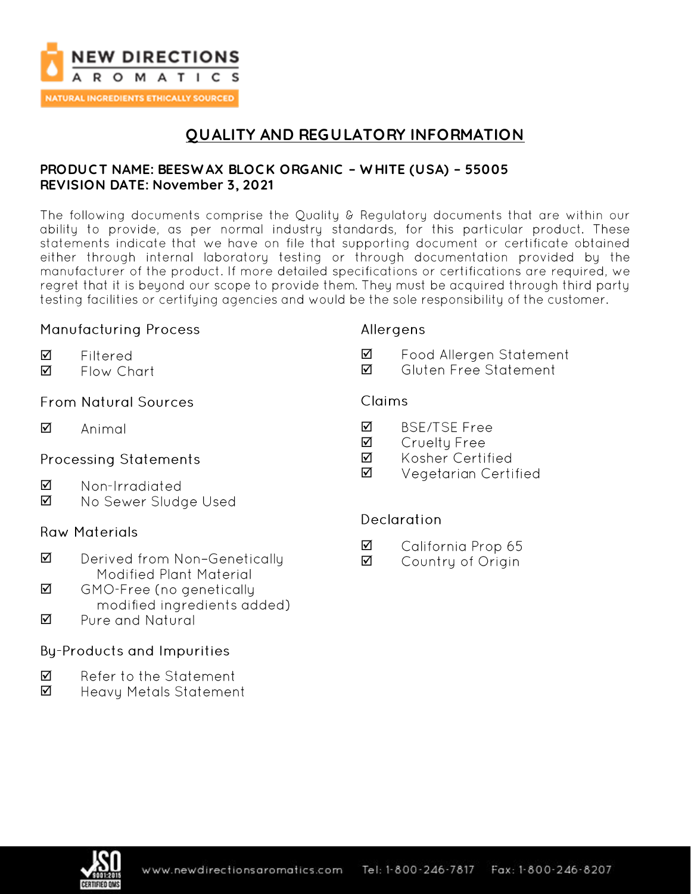

**NATURAL INGREDIENTS ETHICALLY SOURCED** 

# **QUALITY AND REGULATORY INFORMATION**

#### **PRODUC T NAME: BEESW AX BLOC K ORGANIC – W HITE (USA) – 55005 REVISION DATE: November 3, 2021**

The following documents comprise the Quality & Regulatory documents that are within our ability to provide, as per normal industry standards, for this particular product. These statements indicate that we have on file that supporting document or certificate obtained either through internal laboratory testing or through documentation provided by the manufacturer of the product. If more detailed specifications or certifications are required, we regret that it is beyond our scope to provide them. They must be acquired through third party testing facilities or certifying agencies and would be the sole responsibility of the customer.

#### **Manufacturing Process**

- ☑ Filtered
- ☑ Flow Chart

### **From Natural Sources**

 $\triangledown$ Animal

### **Processing Statements**

- ☑ Non-Irradiated
- ☑ No Sewer Sludge Used

### **Raw Materials**

- $\triangledown$ Derived from Non-Genetically Modified Plant Material
- ☑ GMO-Free (no genetically modified ingredients added)
- Pure and Natural ☑

### **By-Products and Impurities**

- ☑ Refer to the Statement
- ☑ Heavy Metals Statement

#### Allergens

- ☑ Food Allergen Statement
- ☑ Gluten Free Statement

#### Claims

- ☑ **BSE/TSE Free**
- ☑ Cruelty Free
- ☑ Kosher Certified
- ☑ Vegetarian Certified

### **Declaration**

- ☑ California Prop 65
- ☑ Country of Origin

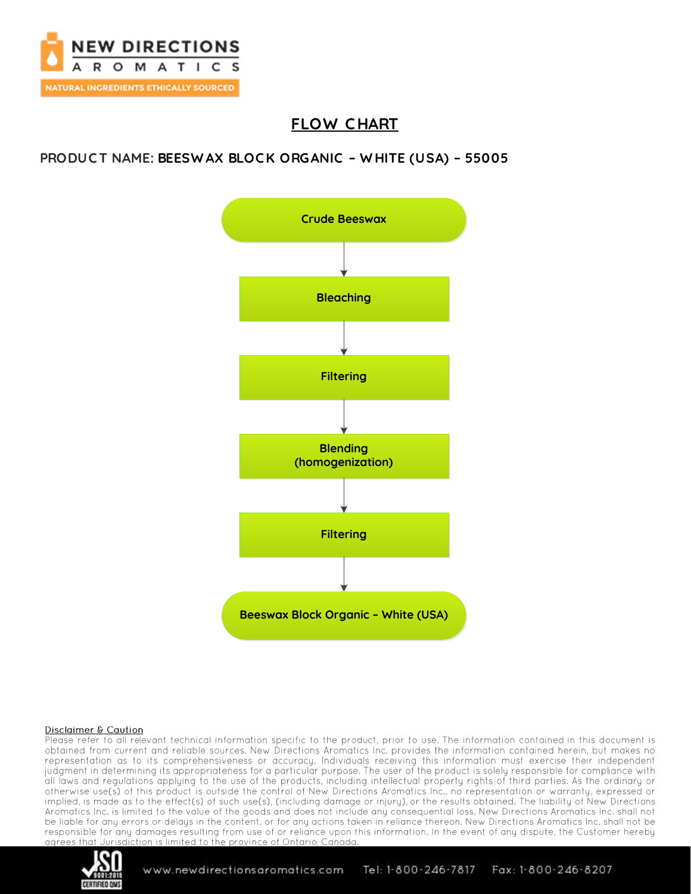

# **FLOW C HART**

### **PRODUC T NAME: BEESW AX BLOC K ORGANIC – W HITE (USA) – 55005**



#### **Disclaimer & Caution**

Please refer to all relevant technical information specific to the product, prior to use. The information contained in this document is obtained from current and reliable sources. New Directions Aromatics Inc. provides the information contained herein, but makes no representation as to its comprehensiveness or accuracy. Individuals receiving this information must exercise their independent judgment in determining its appropriateness for a particular purpose. The user of the product is solely responsible for compliance with all laws and regulations applying to the use of the products, including intellectual property rights of third parties. As the ordinary or otherwise use(s) of this product is outside the control of New Directions Aromatics Inc., no representation or warranty, expressed or implied, is made as to the effect(s) of such use(s), (including damage or injury), or the results obtained. The liability of New Directions Aromatics Inc. is limited to the value of the goods and does not include any consequential loss. New Directions Aromatics Inc. shall not be liable for any errors or delays in the content, or for any actions taken in reliance thereon. New Directions Aromatics Inc. shall not be responsible for any damages resulting from use of or reliance upon this information. In the event of any dispute, the Customer hereby agrees that Jurisdiction is limited to the province of Ontario, Canada.



Fax: 1-800-246-8207 www.newdirectionsaromatics.com Tel: 1-800-246-7817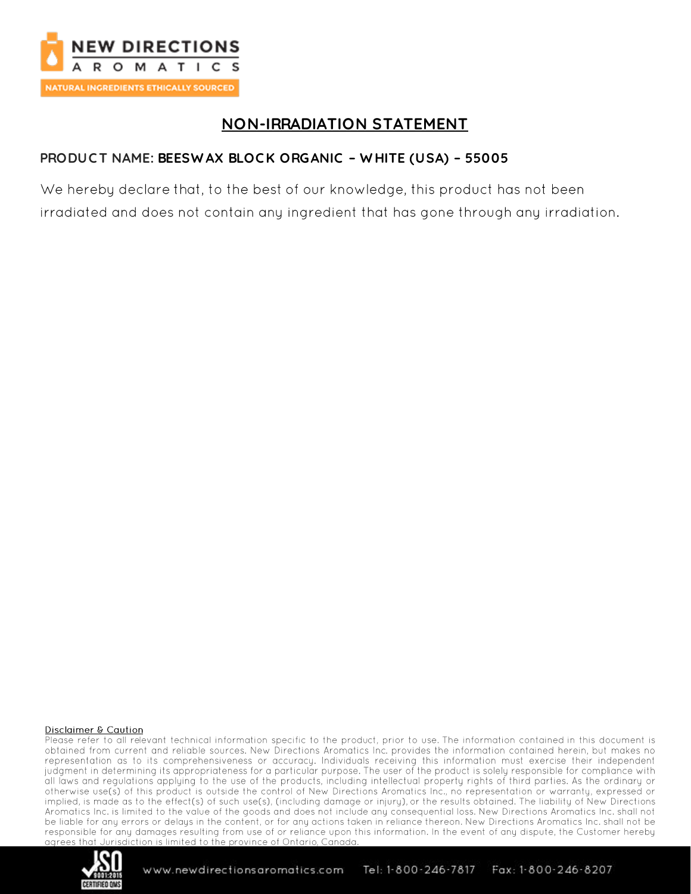

# **NON-IRRADIATION STATEMENT**

### PRODUCT NAME: BEESWAX BLOCK ORGANIC - WHITE (USA) - 55005

We hereby declare that, to the best of our knowledge, this product has not been irradiated and does not contain any ingredient that has gone through any irradiation.

#### **Disclaimer & Caution**

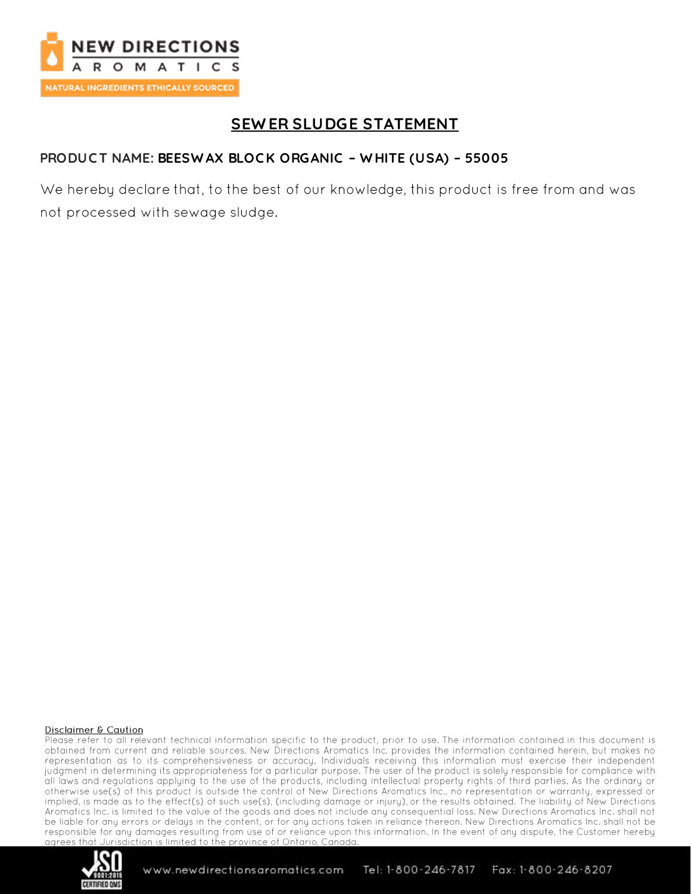

# **SEWER SLUDGE STATEMENT**

### PRODUCT NAME: BEESWAX BLOCK ORGANIC - WHITE (USA) - 55005

We hereby declare that, to the best of our knowledge, this product is free from and was not processed with sewage sludge.

#### **Disclaimer & Caution**

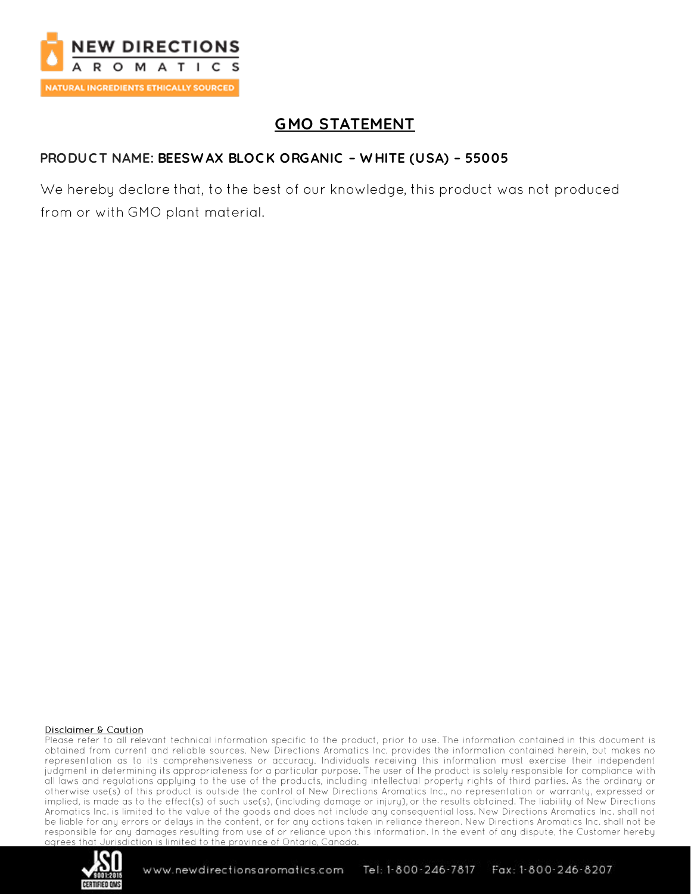

# **GMO STATEMENT**

### PRODUCT NAME: BEESWAX BLOCK ORGANIC - WHITE (USA) - 55005

We hereby declare that, to the best of our knowledge, this product was not produced from or with GMO plant material.

#### **Disclaimer & Caution**

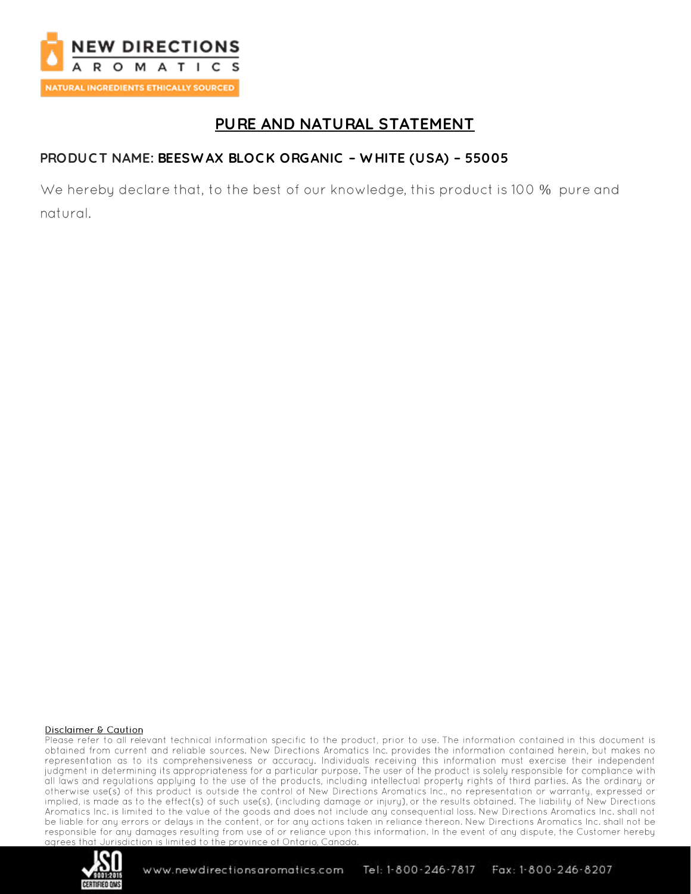

# PURE AND NATURAL STATEMENT

### PRODUCT NAME: BEESWAX BLOCK ORGANIC - WHITE (USA) - 55005

We hereby declare that, to the best of our knowledge, this product is 100 % pure and natural.

#### **Disclaimer & Caution**

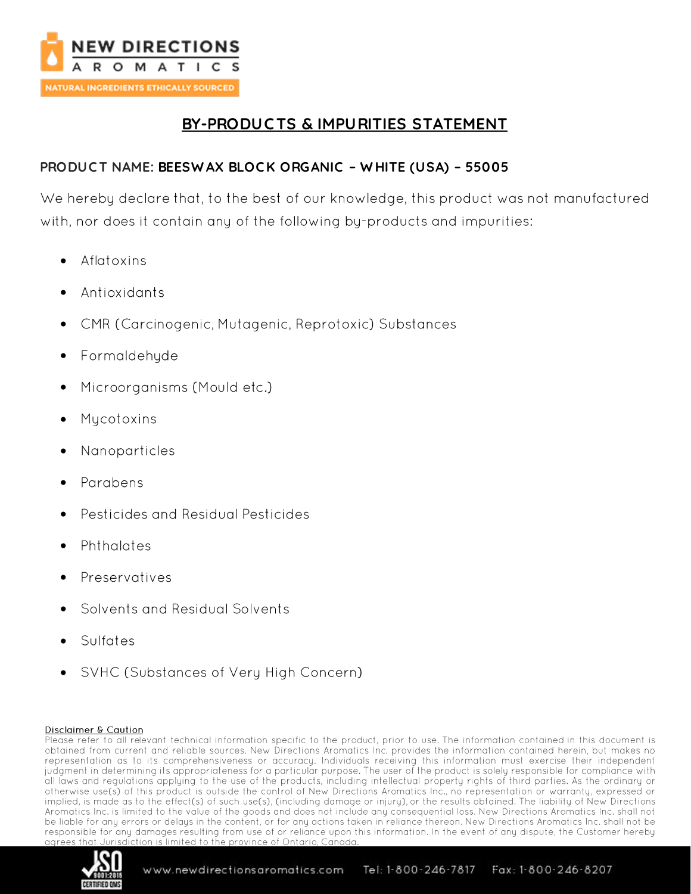

# **BY-PRODUC TS & IMPURITIES STATEMENT**

### **PRODUC T NAME: BEESW AX BLOC K ORGANIC – W HITE (USA) – 55005**

We hereby declare that, to the best of our knowledge, this product was not manufactured with, nor does it contain any of the following by-products and impurities:

- Aflatoxins •
- Antioxidants
- CMR (Carcinogenic, Mutagenic, Reprotoxic) Substances •
- Formaldehyde
- Microorganisms (Mould etc.) •
- Mycotoxins
- Nanoparticles •
- Parabens
- **Pesticides and Residual Pesticides**
- Phthalates
- Preservatives
- Solvents and Residual Solvents
- Sulfates
- SVHC (Substances of Very High Concern) •

#### **Disclaimer & Caution**

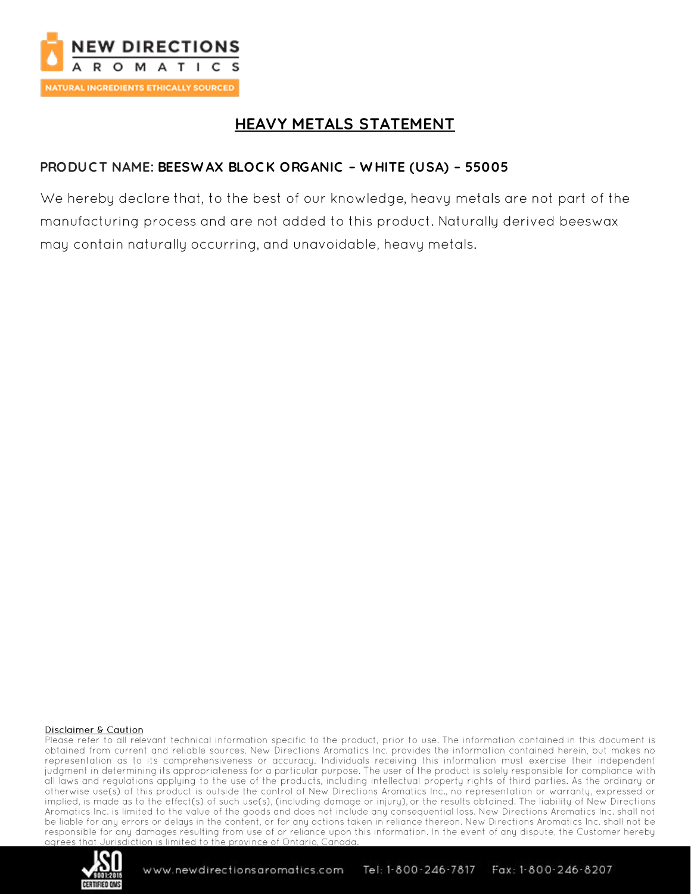

# **HEAVY METALS STATEMENT**

### PRODUCT NAME: BEESWAX BLOCK ORGANIC - WHITE (USA) - 55005

We hereby declare that, to the best of our knowledge, heavy metals are not part of the manufacturing process and are not added to this product. Naturally derived beeswax may contain naturally occurring, and unavoidable, heavy metals.

#### **Disclaimer & Caution**

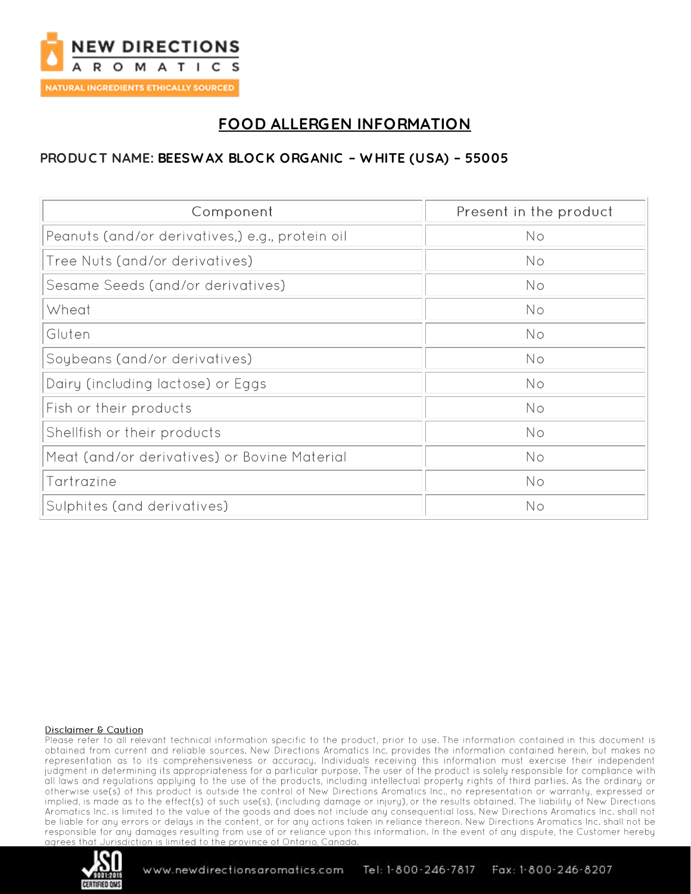

# **FOOD ALLERGEN INFORMATION**

### PRODUCT NAME: BEESWAX BLOCK ORGANIC - WHITE (USA) - 55005

| Component                                       | Present in the product |
|-------------------------------------------------|------------------------|
| Peanuts (and/or derivatives,) e.g., protein oil | No                     |
| Tree Nuts (and/or derivatives)                  | No                     |
| Sesame Seeds (and/or derivatives)               | No                     |
| Wheat                                           | No                     |
| Gluten                                          | <b>No</b>              |
| Soybeans (and/or derivatives)                   | No                     |
| Dairy (including lactose) or Eggs               | <b>No</b>              |
| Fish or their products                          | <b>No</b>              |
| Shellfish or their products                     | No                     |
| Meat (and/or derivatives) or Bovine Material    | No                     |
| Tartrazine                                      | No                     |
| Sulphites (and derivatives)                     | No                     |

#### **Disclaimer & Caution**

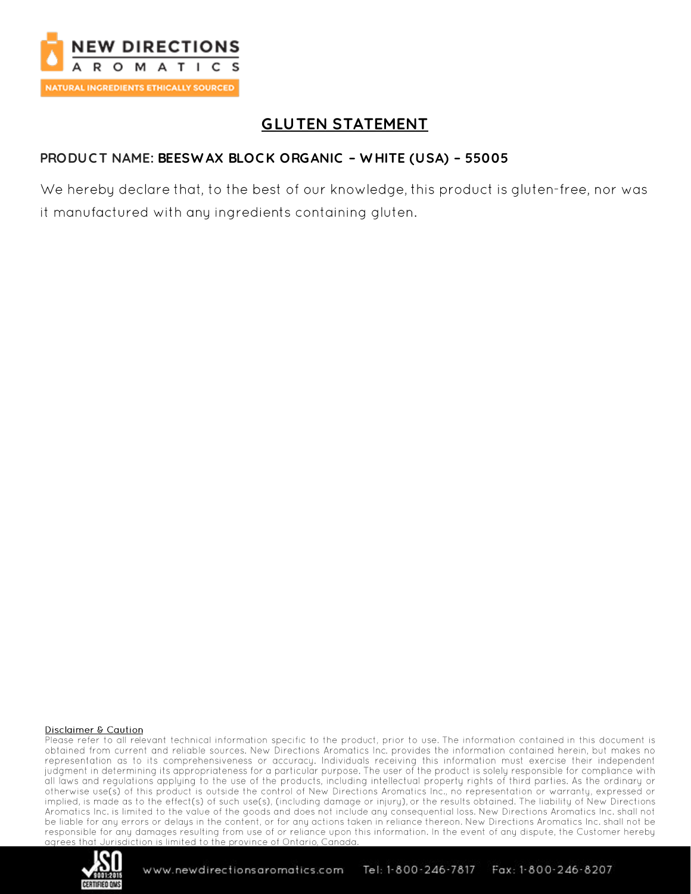

# **GLUTEN STATEMENT**

### PRODUCT NAME: BEESWAX BLOCK ORGANIC - WHITE (USA) - 55005

We hereby declare that, to the best of our knowledge, this product is gluten-free, nor was it manufactured with any ingredients containing gluten.

#### **Disclaimer & Caution**

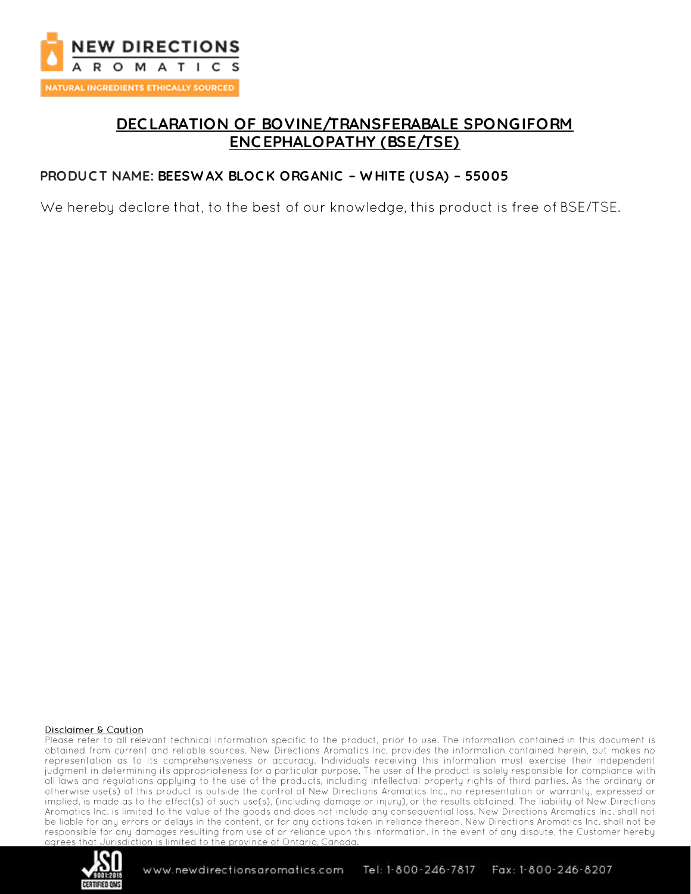

## **DEC LARATION OF BOVINE/TRANSFERABALE SPONGIFORM ENC EPHALOPATHY (BSE/TSE)**

#### **PRODUC T NAME: BEESW AX BLOC K ORGANIC – W HITE (USA) – 55005**

We hereby declare that, to the best of our knowledge, this product is free of BSE/TSE.

#### **Disclaimer & Caution**

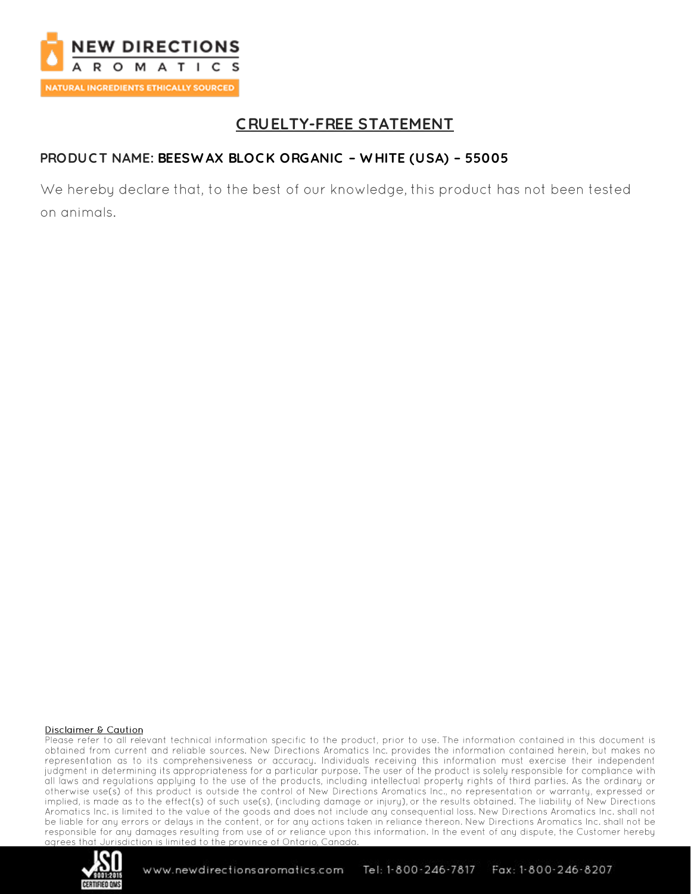

# **CRUELTY-FREE STATEMENT**

### PRODUCT NAME: BEESWAX BLOCK ORGANIC - WHITE (USA) - 55005

We hereby declare that, to the best of our knowledge, this product has not been tested on animals.

#### **Disclaimer & Caution**

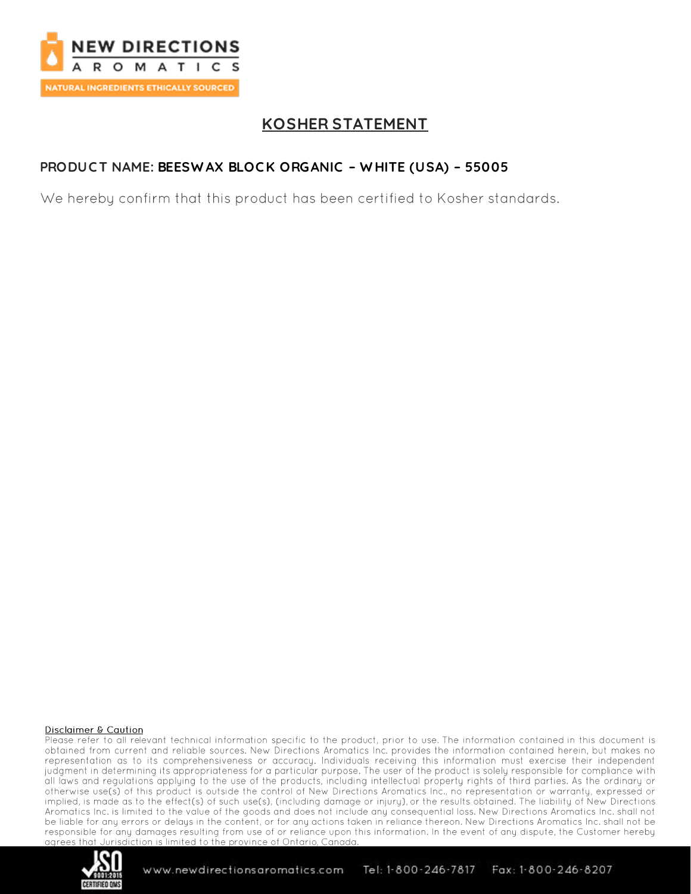

# **KOSHER STATEMENT**

### PRODUCT NAME: BEESWAX BLOCK ORGANIC - WHITE (USA) - 55005

We hereby confirm that this product has been certified to Kosher standards.

#### **Disclaimer & Caution**

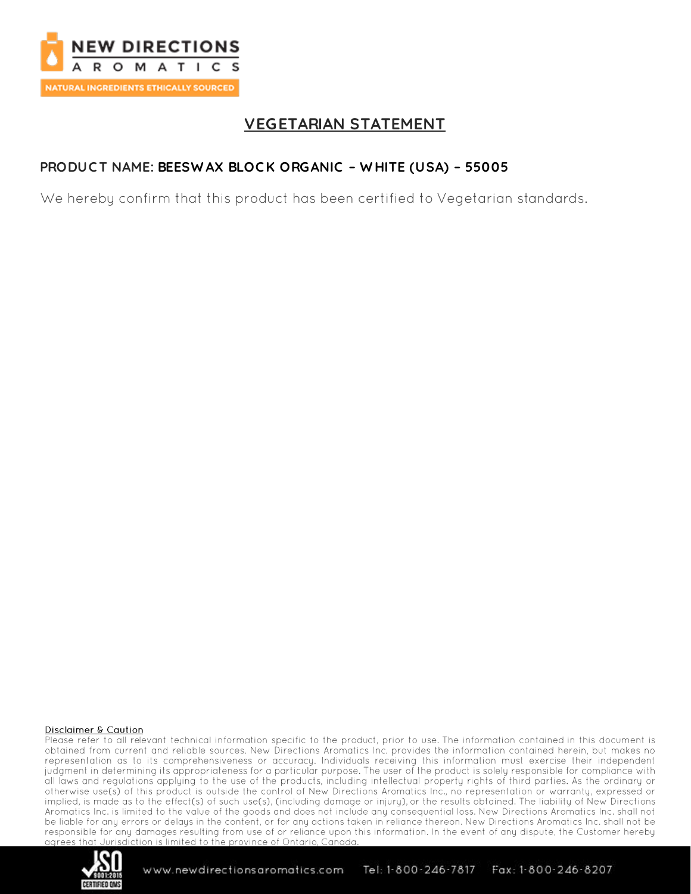

# **VEGETARIAN STATEMENT**

### PRODUCT NAME: BEESWAX BLOCK ORGANIC - WHITE (USA) - 55005

We hereby confirm that this product has been certified to Vegetarian standards.

#### **Disclaimer & Caution**

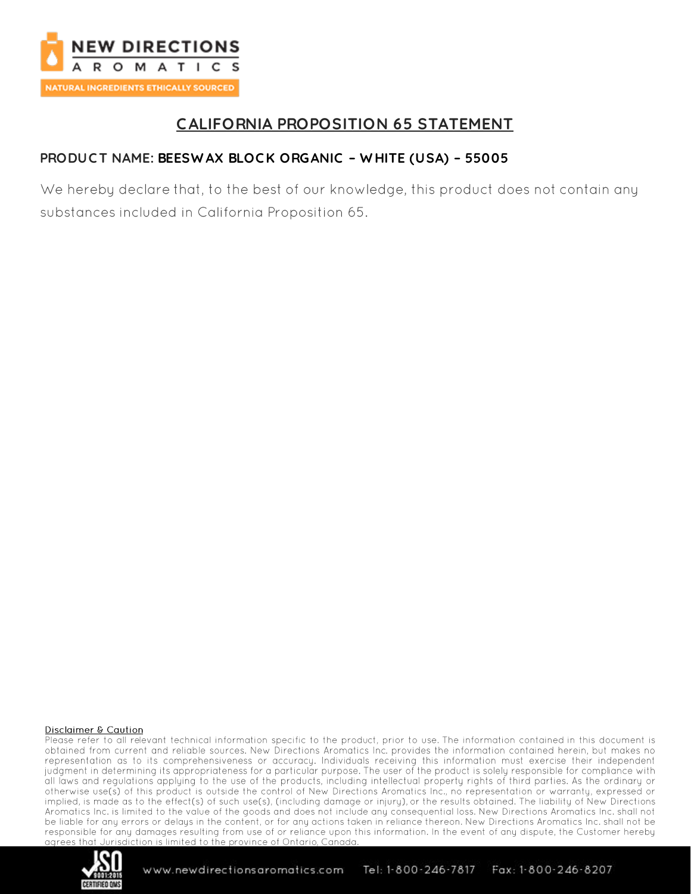

# **CALIFORNIA PROPOSITION 65 STATEMENT**

### PRODUCT NAME: BEESWAX BLOCK ORGANIC - WHITE (USA) - 55005

We hereby declare that, to the best of our knowledge, this product does not contain any substances included in California Proposition 65.

#### **Disclaimer & Caution**